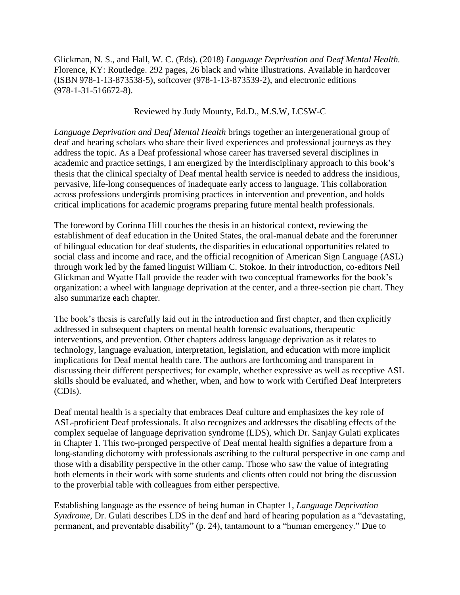Glickman, N. S., and Hall, W. C. (Eds). (2018) *Language Deprivation and Deaf Mental Health.*  Florence, KY: Routledge. 292 pages, 26 black and white illustrations. Available in hardcover (ISBN 978-1-13-873538-5), softcover (978-1-13-873539-2), and electronic editions (978-1-31-516672-8).

## Reviewed by Judy Mounty, Ed.D., M.S.W, LCSW-C

*Language Deprivation and Deaf Mental Health* brings together an intergenerational group of deaf and hearing scholars who share their lived experiences and professional journeys as they address the topic. As a Deaf professional whose career has traversed several disciplines in academic and practice settings, I am energized by the interdisciplinary approach to this book's thesis that the clinical specialty of Deaf mental health service is needed to address the insidious, pervasive, life-long consequences of inadequate early access to language. This collaboration across professions undergirds promising practices in intervention and prevention, and holds critical implications for academic programs preparing future mental health professionals.

The foreword by Corinna Hill couches the thesis in an historical context, reviewing the establishment of deaf education in the United States, the oral-manual debate and the forerunner of bilingual education for deaf students, the disparities in educational opportunities related to social class and income and race, and the official recognition of American Sign Language (ASL) through work led by the famed linguist William C. Stokoe. In their introduction, co-editors Neil Glickman and Wyatte Hall provide the reader with two conceptual frameworks for the book's organization: a wheel with language deprivation at the center, and a three-section pie chart. They also summarize each chapter.

The book's thesis is carefully laid out in the introduction and first chapter, and then explicitly addressed in subsequent chapters on mental health forensic evaluations, therapeutic interventions, and prevention. Other chapters address language deprivation as it relates to technology, language evaluation, interpretation, legislation, and education with more implicit implications for Deaf mental health care. The authors are forthcoming and transparent in discussing their different perspectives; for example, whether expressive as well as receptive ASL skills should be evaluated, and whether, when, and how to work with Certified Deaf Interpreters (CDIs).

Deaf mental health is a specialty that embraces Deaf culture and emphasizes the key role of ASL-proficient Deaf professionals. It also recognizes and addresses the disabling effects of the complex sequelae of language deprivation syndrome (LDS), which Dr. Sanjay Gulati explicates in Chapter 1. This two-pronged perspective of Deaf mental health signifies a departure from a long-standing dichotomy with professionals ascribing to the cultural perspective in one camp and those with a disability perspective in the other camp. Those who saw the value of integrating both elements in their work with some students and clients often could not bring the discussion to the proverbial table with colleagues from either perspective.

Establishing language as the essence of being human in Chapter 1, *Language Deprivation Syndrome*, Dr. Gulati describes LDS in the deaf and hard of hearing population as a "devastating, permanent, and preventable disability" (p. 24), tantamount to a "human emergency." Due to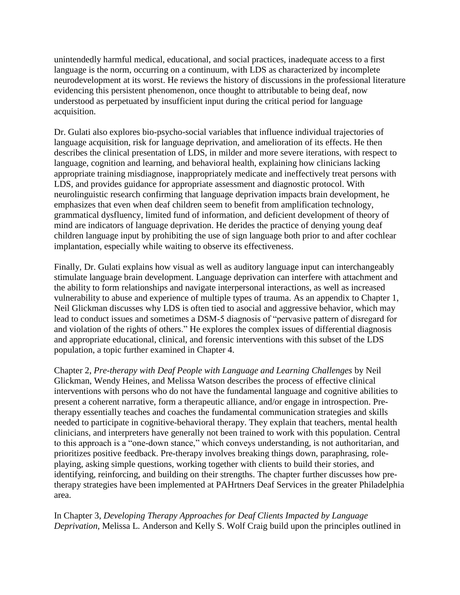unintendedly harmful medical, educational, and social practices, inadequate access to a first language is the norm, occurring on a continuum, with LDS as characterized by incomplete neurodevelopment at its worst. He reviews the history of discussions in the professional literature evidencing this persistent phenomenon, once thought to attributable to being deaf, now understood as perpetuated by insufficient input during the critical period for language acquisition.

Dr. Gulati also explores bio-psycho-social variables that influence individual trajectories of language acquisition, risk for language deprivation, and amelioration of its effects. He then describes the clinical presentation of LDS, in milder and more severe iterations, with respect to language, cognition and learning, and behavioral health, explaining how clinicians lacking appropriate training misdiagnose, inappropriately medicate and ineffectively treat persons with LDS, and provides guidance for appropriate assessment and diagnostic protocol. With neurolinguistic research confirming that language deprivation impacts brain development, he emphasizes that even when deaf children seem to benefit from amplification technology, grammatical dysfluency, limited fund of information, and deficient development of theory of mind are indicators of language deprivation. He derides the practice of denying young deaf children language input by prohibiting the use of sign language both prior to and after cochlear implantation, especially while waiting to observe its effectiveness.

Finally, Dr. Gulati explains how visual as well as auditory language input can interchangeably stimulate language brain development. Language deprivation can interfere with attachment and the ability to form relationships and navigate interpersonal interactions, as well as increased vulnerability to abuse and experience of multiple types of trauma. As an appendix to Chapter 1, Neil Glickman discusses why LDS is often tied to asocial and aggressive behavior, which may lead to conduct issues and sometimes a DSM-5 diagnosis of "pervasive pattern of disregard for and violation of the rights of others." He explores the complex issues of differential diagnosis and appropriate educational, clinical, and forensic interventions with this subset of the LDS population, a topic further examined in Chapter 4.

Chapter 2, *Pre-therapy with Deaf People with Language and Learning Challenges* by Neil Glickman, Wendy Heines, and Melissa Watson describes the process of effective clinical interventions with persons who do not have the fundamental language and cognitive abilities to present a coherent narrative, form a therapeutic alliance, and/or engage in introspection. Pretherapy essentially teaches and coaches the fundamental communication strategies and skills needed to participate in cognitive-behavioral therapy. They explain that teachers, mental health clinicians, and interpreters have generally not been trained to work with this population. Central to this approach is a "one-down stance," which conveys understanding, is not authoritarian, and prioritizes positive feedback. Pre-therapy involves breaking things down, paraphrasing, roleplaying, asking simple questions, working together with clients to build their stories, and identifying, reinforcing, and building on their strengths. The chapter further discusses how pretherapy strategies have been implemented at PAHrtners Deaf Services in the greater Philadelphia area.

In Chapter 3, *Developing Therapy Approaches for Deaf Clients Impacted by Language Deprivation,* Melissa L. Anderson and Kelly S. Wolf Craig build upon the principles outlined in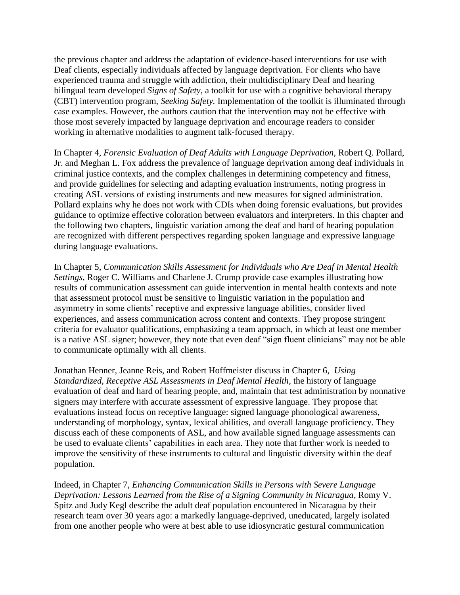the previous chapter and address the adaptation of evidence-based interventions for use with Deaf clients, especially individuals affected by language deprivation. For clients who have experienced trauma and struggle with addiction, their multidisciplinary Deaf and hearing bilingual team developed *Signs of Safety*, a toolkit for use with a cognitive behavioral therapy (CBT) intervention program, *Seeking Safety.* Implementation of the toolkit is illuminated through case examples. However, the authors caution that the intervention may not be effective with those most severely impacted by language deprivation and encourage readers to consider working in alternative modalities to augment talk-focused therapy.

In Chapter 4, *Forensic Evaluation of Deaf Adults with Language Deprivation*, Robert Q. Pollard, Jr. and Meghan L. Fox address the prevalence of language deprivation among deaf individuals in criminal justice contexts, and the complex challenges in determining competency and fitness, and provide guidelines for selecting and adapting evaluation instruments, noting progress in creating ASL versions of existing instruments and new measures for signed administration. Pollard explains why he does not work with CDIs when doing forensic evaluations, but provides guidance to optimize effective coloration between evaluators and interpreters. In this chapter and the following two chapters, linguistic variation among the deaf and hard of hearing population are recognized with different perspectives regarding spoken language and expressive language during language evaluations.

In Chapter 5, *Communication Skills Assessment for Individuals who Are Deaf in Mental Health Settings*, Roger C. Williams and Charlene J. Crump provide case examples illustrating how results of communication assessment can guide intervention in mental health contexts and note that assessment protocol must be sensitive to linguistic variation in the population and asymmetry in some clients' receptive and expressive language abilities, consider lived experiences, and assess communication across content and contexts. They propose stringent criteria for evaluator qualifications, emphasizing a team approach, in which at least one member is a native ASL signer; however, they note that even deaf "sign fluent clinicians" may not be able to communicate optimally with all clients.

Jonathan Henner, Jeanne Reis, and Robert Hoffmeister discuss in Chapter 6, *Using Standardized, Receptive ASL Assessments in Deaf Mental Health,* the history of language evaluation of deaf and hard of hearing people, and, maintain that test administration by nonnative signers may interfere with accurate assessment of expressive language. They propose that evaluations instead focus on receptive language: signed language phonological awareness, understanding of morphology, syntax, lexical abilities, and overall language proficiency. They discuss each of these components of ASL, and how available signed language assessments can be used to evaluate clients' capabilities in each area. They note that further work is needed to improve the sensitivity of these instruments to cultural and linguistic diversity within the deaf population.

Indeed, in Chapter 7, *Enhancing Communication Skills in Persons with Severe Language Deprivation: Lessons Learned from the Rise of a Signing Community in Nicaragua*, Romy V. Spitz and Judy Kegl describe the adult deaf population encountered in Nicaragua by their research team over 30 years ago: a markedly language-deprived, uneducated, largely isolated from one another people who were at best able to use idiosyncratic gestural communication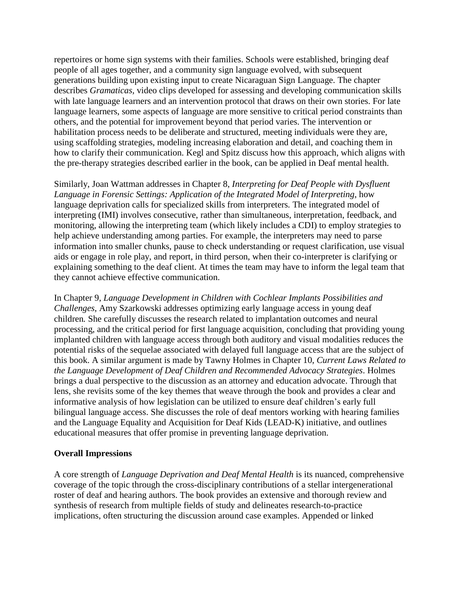repertoires or home sign systems with their families. Schools were established, bringing deaf people of all ages together, and a community sign language evolved, with subsequent generations building upon existing input to create Nicaraguan Sign Language. The chapter describes *Gramaticas,* video clips developed for assessing and developing communication skills with late language learners and an intervention protocol that draws on their own stories. For late language learners, some aspects of language are more sensitive to critical period constraints than others, and the potential for improvement beyond that period varies. The intervention or habilitation process needs to be deliberate and structured, meeting individuals were they are, using scaffolding strategies, modeling increasing elaboration and detail, and coaching them in how to clarify their communication. Kegl and Spitz discuss how this approach, which aligns with the pre-therapy strategies described earlier in the book, can be applied in Deaf mental health.

Similarly, Joan Wattman addresses in Chapter 8, *Interpreting for Deaf People with Dysfluent Language in Forensic Settings: Application of the Integrated Model of Interpreting*, how language deprivation calls for specialized skills from interpreters*.* The integrated model of interpreting (IMI) involves consecutive, rather than simultaneous, interpretation, feedback, and monitoring, allowing the interpreting team (which likely includes a CDI) to employ strategies to help achieve understanding among parties. For example, the interpreters may need to parse information into smaller chunks, pause to check understanding or request clarification, use visual aids or engage in role play, and report, in third person, when their co-interpreter is clarifying or explaining something to the deaf client. At times the team may have to inform the legal team that they cannot achieve effective communication.

In Chapter 9, *Language Development in Children with Cochlear Implants Possibilities and Challenges*, Amy Szarkowski addresses optimizing early language access in young deaf children*.* She carefully discusses the research related to implantation outcomes and neural processing, and the critical period for first language acquisition, concluding that providing young implanted children with language access through both auditory and visual modalities reduces the potential risks of the sequelae associated with delayed full language access that are the subject of this book. A similar argument is made by Tawny Holmes in Chapter 10, *Current Laws Related to the Language Development of Deaf Children and Recommended Advocacy Strategies*. Holmes brings a dual perspective to the discussion as an attorney and education advocate. Through that lens, she revisits some of the key themes that weave through the book and provides a clear and informative analysis of how legislation can be utilized to ensure deaf children's early full bilingual language access. She discusses the role of deaf mentors working with hearing families and the Language Equality and Acquisition for Deaf Kids (LEAD-K) initiative, and outlines educational measures that offer promise in preventing language deprivation.

## **Overall Impressions**

A core strength of *Language Deprivation and Deaf Mental Health* is its nuanced, comprehensive coverage of the topic through the cross-disciplinary contributions of a stellar intergenerational roster of deaf and hearing authors. The book provides an extensive and thorough review and synthesis of research from multiple fields of study and delineates research-to-practice implications, often structuring the discussion around case examples. Appended or linked